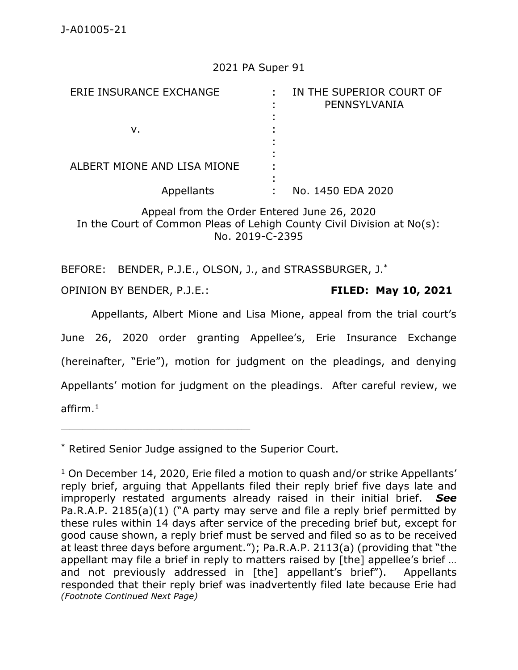## 2021 PA Super 91

| ERIE INSURANCE EXCHANGE     | IN THE SUPERIOR COURT OF<br>PENNSYLVANIA |
|-----------------------------|------------------------------------------|
| ν.                          |                                          |
| ALBERT MIONE AND LISA MIONE |                                          |
| Appellants                  | No. 1450 EDA 2020                        |

Appeal from the Order Entered June 26, 2020 In the Court of Common Pleas of Lehigh County Civil Division at No(s): No. 2019-C-2395

BEFORE: BENDER, P.J.E., OLSON, J., and STRASSBURGER, J.\*

OPINION BY BENDER, P.J.E.: **FILED: May 10, 2021**

\_\_\_\_\_\_\_\_\_\_\_\_\_\_\_\_\_\_\_\_\_\_\_\_\_\_\_\_\_\_\_\_\_\_\_\_\_\_\_\_\_\_\_\_

Appellants, Albert Mione and Lisa Mione, appeal from the trial court's June 26, 2020 order granting Appellee's, Erie Insurance Exchange (hereinafter, "Erie"), motion for judgment on the pleadings, and denying Appellants' motion for judgment on the pleadings. After careful review, we affirm. $^{\rm 1}$ 

\* Retired Senior Judge assigned to the Superior Court.

 $1$  On December 14, 2020, Erie filed a motion to quash and/or strike Appellants' reply brief, arguing that Appellants filed their reply brief five days late and improperly restated arguments already raised in their initial brief. *See*  Pa.R.A.P. 2185(a)(1) ("A party may serve and file a reply brief permitted by these rules within 14 days after service of the preceding brief but, except for good cause shown, a reply brief must be served and filed so as to be received at least three days before argument."); Pa.R.A.P. 2113(a) (providing that "the appellant may file a brief in reply to matters raised by [the] appellee's brief … and not previously addressed in [the] appellant's brief"). Appellants responded that their reply brief was inadvertently filed late because Erie had *(Footnote Continued Next Page)*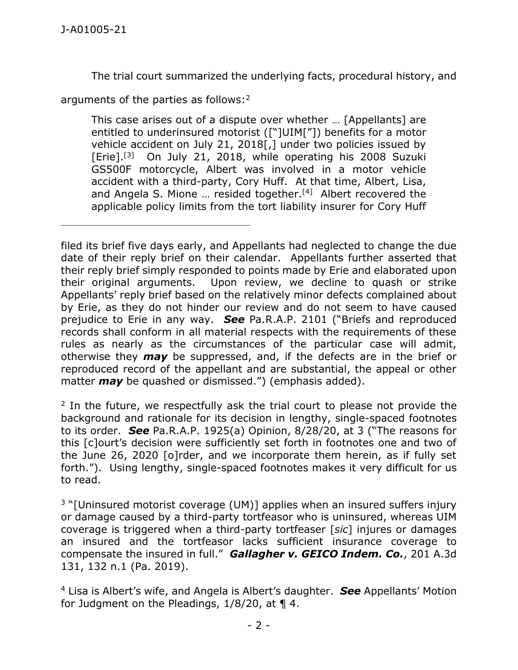The trial court summarized the underlying facts, procedural history, and

arguments of the parties as follows: 2

\_\_\_\_\_\_\_\_\_\_\_\_\_\_\_\_\_\_\_\_\_\_\_\_\_\_\_\_\_\_\_\_\_\_\_\_\_\_\_\_\_\_\_\_

This case arises out of a dispute over whether … [Appellants] are entitled to underinsured motorist (["]UIM["]) benefits for a motor vehicle accident on July 21, 2018[,] under two policies issued by [Erie].<sup>[3]</sup> On July 21, 2018, while operating his 2008 Suzuki GS500F motorcycle, Albert was involved in a motor vehicle accident with a third-party, Cory Huff. At that time, Albert, Lisa, and Angela S. Mione ... resided together.<sup>[4]</sup> Albert recovered the applicable policy limits from the tort liability insurer for Cory Huff

filed its brief five days early, and Appellants had neglected to change the due date of their reply brief on their calendar. Appellants further asserted that their reply brief simply responded to points made by Erie and elaborated upon their original arguments. Upon review, we decline to quash or strike Appellants' reply brief based on the relatively minor defects complained about by Erie, as they do not hinder our review and do not seem to have caused prejudice to Erie in any way. *See* Pa.R.A.P. 2101 ("Briefs and reproduced records shall conform in all material respects with the requirements of these rules as nearly as the circumstances of the particular case will admit, otherwise they *may* be suppressed, and, if the defects are in the brief or reproduced record of the appellant and are substantial, the appeal or other matter *may* be quashed or dismissed.") (emphasis added).

<sup>2</sup> In the future, we respectfully ask the trial court to please not provide the background and rationale for its decision in lengthy, single-spaced footnotes to its order. *See* Pa.R.A.P. 1925(a) Opinion, 8/28/20, at 3 ("The reasons for this [c]ourt's decision were sufficiently set forth in footnotes one and two of the June 26, 2020 [o]rder, and we incorporate them herein, as if fully set forth."). Using lengthy, single-spaced footnotes makes it very difficult for us to read.

<sup>3</sup> "[Uninsured motorist coverage (UM)] applies when an insured suffers injury or damage caused by a third-party tortfeasor who is uninsured, whereas UIM coverage is triggered when a third-party tortfeaser [*sic*] injures or damages an insured and the tortfeasor lacks sufficient insurance coverage to compensate the insured in full." *Gallagher v. GEICO Indem. Co.*, 201 A.3d 131, 132 n.1 (Pa. 2019).

<sup>4</sup> Lisa is Albert's wife, and Angela is Albert's daughter. *See* Appellants' Motion for Judgment on the Pleadings,  $1/8/20$ , at  $\P$  4.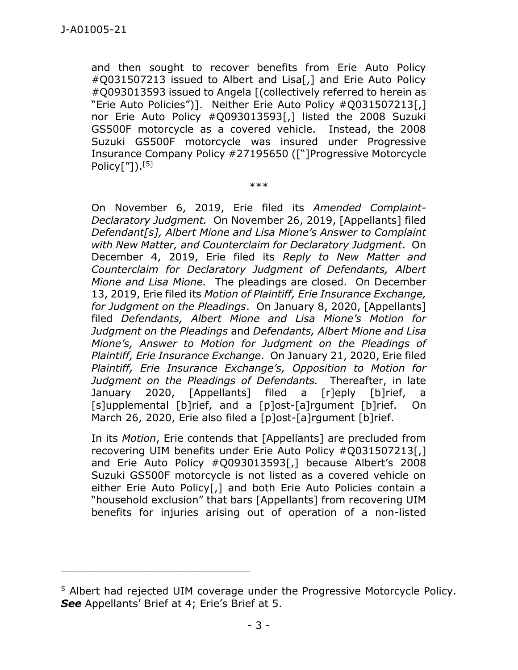and then sought to recover benefits from Erie Auto Policy #Q031507213 issued to Albert and Lisa[,] and Erie Auto Policy #Q093013593 issued to Angela [(collectively referred to herein as "Erie Auto Policies")]. Neither Erie Auto Policy #Q031507213[,] nor Erie Auto Policy #Q093013593[,] listed the 2008 Suzuki GS500F motorcycle as a covered vehicle. Instead, the 2008 Suzuki GS500F motorcycle was insured under Progressive Insurance Company Policy #27195650 (["]Progressive Motorcycle  ${\sf Policy}['']).^{[5]}$ 

\*\*\*

On November 6, 2019, Erie filed its *Amended Complaint-Declaratory Judgment.* On November 26, 2019, [Appellants] filed *Defendant[s], Albert Mione and Lisa Mione's Answer to Complaint with New Matter, and Counterclaim for Declaratory Judgment*. On December 4, 2019, Erie filed its *Reply to New Matter and Counterclaim for Declaratory Judgment of Defendants, Albert Mione and Lisa Mione.* The pleadings are closed. On December 13, 2019, Erie filed its *Motion of Plaintiff, Erie Insurance Exchange, for Judgment on the Pleadings*. On January 8, 2020, [Appellants] filed *Defendants, Albert Mione and Lisa Mione's Motion for Judgment on the Pleadings* and *Defendants, Albert Mione and Lisa Mione's, Answer to Motion for Judgment on the Pleadings of Plaintiff, Erie Insurance Exchange*. On January 21, 2020, Erie filed *Plaintiff, Erie Insurance Exchange's, Opposition to Motion for Judgment on the Pleadings of Defendants.* Thereafter, in late January 2020, [Appellants] filed a [r]eply [b]rief, a [s]upplemental [b]rief, and a [p]ost-[a]rgument [b]rief. On March 26, 2020, Erie also filed a [p]ost-[a]rgument [b]rief.

In its *Motion*, Erie contends that [Appellants] are precluded from recovering UIM benefits under Erie Auto Policy #Q031507213[,] and Erie Auto Policy #Q093013593[,] because Albert's 2008 Suzuki GS500F motorcycle is not listed as a covered vehicle on either Erie Auto Policy[,] and both Erie Auto Policies contain a "household exclusion" that bars [Appellants] from recovering UIM benefits for injuries arising out of operation of a non-listed

\_\_\_\_\_\_\_\_\_\_\_\_\_\_\_\_\_\_\_\_\_\_\_\_\_\_\_\_\_\_\_\_\_\_\_\_\_\_\_\_\_\_\_\_

<sup>5</sup> Albert had rejected UIM coverage under the Progressive Motorcycle Policy. *See* Appellants' Brief at 4; Erie's Brief at 5.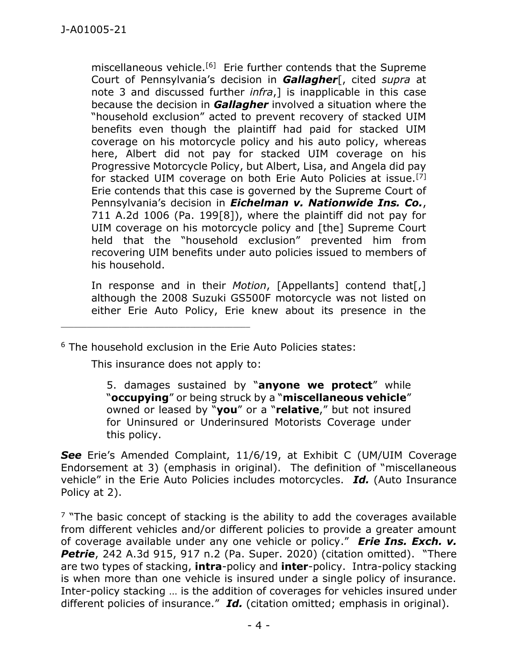miscellaneous vehicle.<sup>[6]</sup> Erie further contends that the Supreme Court of Pennsylvania's decision in *Gallagher*[, cited *supra* at note 3 and discussed further *infra*,] is inapplicable in this case because the decision in *Gallagher* involved a situation where the "household exclusion" acted to prevent recovery of stacked UIM benefits even though the plaintiff had paid for stacked UIM coverage on his motorcycle policy and his auto policy, whereas here, Albert did not pay for stacked UIM coverage on his Progressive Motorcycle Policy, but Albert, Lisa, and Angela did pay for stacked UIM coverage on both Erie Auto Policies at issue.<sup>[7]</sup> Erie contends that this case is governed by the Supreme Court of Pennsylvania's decision in *Eichelman v. Nationwide Ins. Co.*, 711 A.2d 1006 (Pa. 199[8]), where the plaintiff did not pay for UIM coverage on his motorcycle policy and [the] Supreme Court held that the "household exclusion" prevented him from recovering UIM benefits under auto policies issued to members of his household.

In response and in their *Motion*, [Appellants] contend that[,] although the 2008 Suzuki GS500F motorcycle was not listed on either Erie Auto Policy, Erie knew about its presence in the

<sup>6</sup> The household exclusion in the Erie Auto Policies states:

This insurance does not apply to:

5. damages sustained by "**anyone we protect**" while "**occupying**" or being struck by a "**miscellaneous vehicle**" owned or leased by "**you**" or a "**relative**," but not insured for Uninsured or Underinsured Motorists Coverage under this policy.

See Erie's Amended Complaint, 11/6/19, at Exhibit C (UM/UIM Coverage Endorsement at 3) (emphasis in original). The definition of "miscellaneous vehicle" in the Erie Auto Policies includes motorcycles. *Id.* (Auto Insurance Policy at 2).

 $7$  "The basic concept of stacking is the ability to add the coverages available from different vehicles and/or different policies to provide a greater amount of coverage available under any one vehicle or policy." *Erie Ins. Exch. v.*  **Petrie**, 242 A.3d 915, 917 n.2 (Pa. Super. 2020) (citation omitted). "There are two types of stacking, **intra**-policy and **inter**-policy. Intra-policy stacking is when more than one vehicle is insured under a single policy of insurance. Inter-policy stacking … is the addition of coverages for vehicles insured under different policies of insurance." *Id.* (citation omitted; emphasis in original).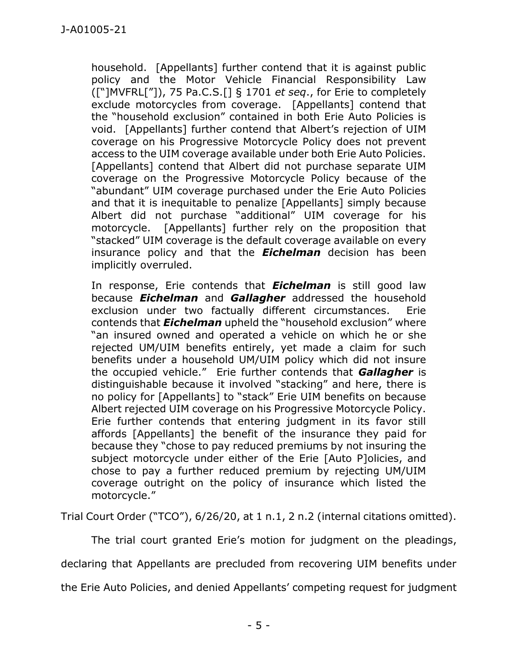household. [Appellants] further contend that it is against public policy and the Motor Vehicle Financial Responsibility Law (["]MVFRL["]), 75 Pa.C.S.[] § 1701 *et seq*., for Erie to completely exclude motorcycles from coverage. [Appellants] contend that the "household exclusion" contained in both Erie Auto Policies is void. [Appellants] further contend that Albert's rejection of UIM coverage on his Progressive Motorcycle Policy does not prevent access to the UIM coverage available under both Erie Auto Policies. [Appellants] contend that Albert did not purchase separate UIM coverage on the Progressive Motorcycle Policy because of the "abundant" UIM coverage purchased under the Erie Auto Policies and that it is inequitable to penalize [Appellants] simply because Albert did not purchase "additional" UIM coverage for his motorcycle. [Appellants] further rely on the proposition that "stacked" UIM coverage is the default coverage available on every insurance policy and that the *Eichelman* decision has been implicitly overruled.

In response, Erie contends that *Eichelman* is still good law because *Eichelman* and *Gallagher* addressed the household exclusion under two factually different circumstances. Erie contends that *Eichelman* upheld the "household exclusion" where "an insured owned and operated a vehicle on which he or she rejected UM/UIM benefits entirely, yet made a claim for such benefits under a household UM/UIM policy which did not insure the occupied vehicle." Erie further contends that *Gallagher* is distinguishable because it involved "stacking" and here, there is no policy for [Appellants] to "stack" Erie UIM benefits on because Albert rejected UIM coverage on his Progressive Motorcycle Policy. Erie further contends that entering judgment in its favor still affords [Appellants] the benefit of the insurance they paid for because they "chose to pay reduced premiums by not insuring the subject motorcycle under either of the Erie [Auto P]olicies, and chose to pay a further reduced premium by rejecting UM/UIM coverage outright on the policy of insurance which listed the motorcycle."

Trial Court Order ("TCO"), 6/26/20, at 1 n.1, 2 n.2 (internal citations omitted).

The trial court granted Erie's motion for judgment on the pleadings,

declaring that Appellants are precluded from recovering UIM benefits under

the Erie Auto Policies, and denied Appellants' competing request for judgment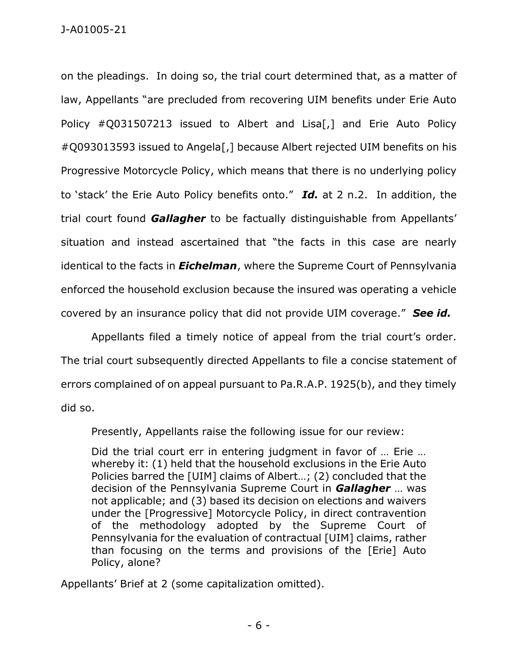on the pleadings. In doing so, the trial court determined that, as a matter of law, Appellants "are precluded from recovering UIM benefits under Erie Auto Policy #Q031507213 issued to Albert and Lisa[,] and Erie Auto Policy #Q093013593 issued to Angela[,] because Albert rejected UIM benefits on his Progressive Motorcycle Policy, which means that there is no underlying policy to 'stack' the Erie Auto Policy benefits onto." *Id.* at 2 n.2. In addition, the trial court found *Gallagher* to be factually distinguishable from Appellants' situation and instead ascertained that "the facts in this case are nearly identical to the facts in *Eichelman*, where the Supreme Court of Pennsylvania enforced the household exclusion because the insured was operating a vehicle covered by an insurance policy that did not provide UIM coverage." *See id.* 

Appellants filed a timely notice of appeal from the trial court's order. The trial court subsequently directed Appellants to file a concise statement of errors complained of on appeal pursuant to Pa.R.A.P. 1925(b), and they timely did so.

Presently, Appellants raise the following issue for our review:

Did the trial court err in entering judgment in favor of … Erie … whereby it: (1) held that the household exclusions in the Erie Auto Policies barred the [UIM] claims of Albert…; (2) concluded that the decision of the Pennsylvania Supreme Court in *Gallagher* … was not applicable; and (3) based its decision on elections and waivers under the [Progressive] Motorcycle Policy, in direct contravention of the methodology adopted by the Supreme Court of Pennsylvania for the evaluation of contractual [UIM] claims, rather than focusing on the terms and provisions of the [Erie] Auto Policy, alone?

Appellants' Brief at 2 (some capitalization omitted).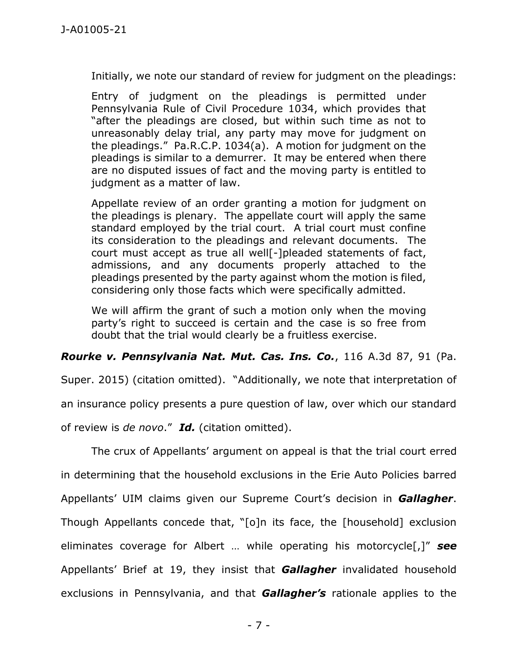Initially, we note our standard of review for judgment on the pleadings:

Entry of judgment on the pleadings is permitted under Pennsylvania Rule of Civil Procedure 1034, which provides that "after the pleadings are closed, but within such time as not to unreasonably delay trial, any party may move for judgment on the pleadings." Pa.R.C.P. 1034(a). A motion for judgment on the pleadings is similar to a demurrer. It may be entered when there are no disputed issues of fact and the moving party is entitled to judgment as a matter of law.

Appellate review of an order granting a motion for judgment on the pleadings is plenary. The appellate court will apply the same standard employed by the trial court. A trial court must confine its consideration to the pleadings and relevant documents. The court must accept as true all well[-]pleaded statements of fact, admissions, and any documents properly attached to the pleadings presented by the party against whom the motion is filed, considering only those facts which were specifically admitted.

We will affirm the grant of such a motion only when the moving party's right to succeed is certain and the case is so free from doubt that the trial would clearly be a fruitless exercise.

*Rourke v. Pennsylvania Nat. Mut. Cas. Ins. Co.*, 116 A.3d 87, 91 (Pa.

Super. 2015) (citation omitted). "Additionally, we note that interpretation of an insurance policy presents a pure question of law, over which our standard of review is *de novo*." *Id.* (citation omitted).

The crux of Appellants' argument on appeal is that the trial court erred in determining that the household exclusions in the Erie Auto Policies barred Appellants' UIM claims given our Supreme Court's decision in *Gallagher*. Though Appellants concede that, "[o]n its face, the [household] exclusion eliminates coverage for Albert … while operating his motorcycle[,]" *see*  Appellants' Brief at 19, they insist that *Gallagher* invalidated household exclusions in Pennsylvania, and that *Gallagher's* rationale applies to the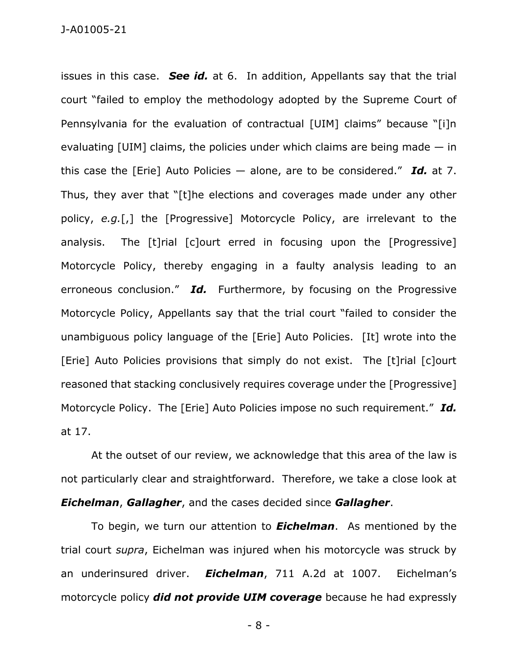issues in this case. *See id.* at 6. In addition, Appellants say that the trial court "failed to employ the methodology adopted by the Supreme Court of Pennsylvania for the evaluation of contractual [UIM] claims" because "[i]n evaluating  $[UIM]$  claims, the policies under which claims are being made  $-$  in this case the [Erie] Auto Policies — alone, are to be considered." *Id.* at 7. Thus, they aver that "[t]he elections and coverages made under any other policy, *e.g.*[,] the [Progressive] Motorcycle Policy, are irrelevant to the analysis. The [t]rial [c]ourt erred in focusing upon the [Progressive] Motorcycle Policy, thereby engaging in a faulty analysis leading to an erroneous conclusion." *Id.* Furthermore, by focusing on the Progressive Motorcycle Policy, Appellants say that the trial court "failed to consider the unambiguous policy language of the [Erie] Auto Policies. [It] wrote into the [Erie] Auto Policies provisions that simply do not exist. The [t]rial [c]ourt reasoned that stacking conclusively requires coverage under the [Progressive] Motorcycle Policy. The [Erie] Auto Policies impose no such requirement." *Id.*  at 17.

At the outset of our review, we acknowledge that this area of the law is not particularly clear and straightforward. Therefore, we take a close look at *Eichelman*, *Gallagher*, and the cases decided since *Gallagher*.

To begin, we turn our attention to *Eichelman*. As mentioned by the trial court *supra*, Eichelman was injured when his motorcycle was struck by an underinsured driver. *Eichelman*, 711 A.2d at 1007. Eichelman's motorcycle policy *did not provide UIM coverage* because he had expressly

- 8 -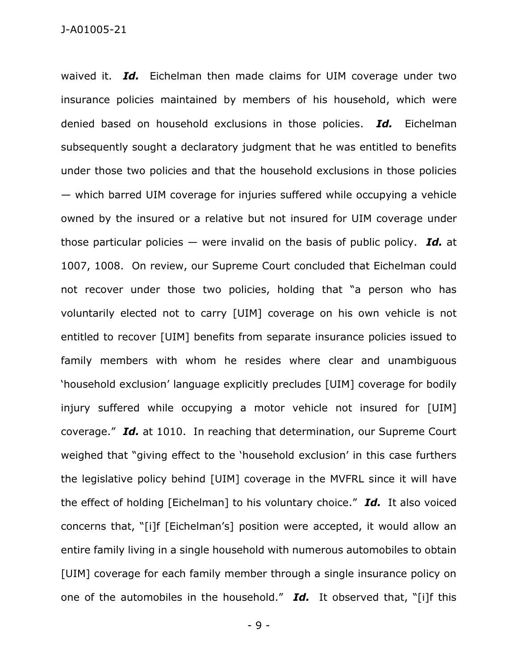waived it. *Id.* Eichelman then made claims for UIM coverage under two insurance policies maintained by members of his household, which were denied based on household exclusions in those policies. *Id.* Eichelman subsequently sought a declaratory judgment that he was entitled to benefits under those two policies and that the household exclusions in those policies — which barred UIM coverage for injuries suffered while occupying a vehicle owned by the insured or a relative but not insured for UIM coverage under those particular policies — were invalid on the basis of public policy. *Id.* at 1007, 1008. On review, our Supreme Court concluded that Eichelman could not recover under those two policies, holding that "a person who has voluntarily elected not to carry [UIM] coverage on his own vehicle is not entitled to recover [UIM] benefits from separate insurance policies issued to family members with whom he resides where clear and unambiguous 'household exclusion' language explicitly precludes [UIM] coverage for bodily injury suffered while occupying a motor vehicle not insured for [UIM] coverage." *Id.* at 1010. In reaching that determination, our Supreme Court weighed that "giving effect to the 'household exclusion' in this case furthers the legislative policy behind [UIM] coverage in the MVFRL since it will have the effect of holding [Eichelman] to his voluntary choice." *Id.* It also voiced concerns that, "[i]f [Eichelman's] position were accepted, it would allow an entire family living in a single household with numerous automobiles to obtain [UIM] coverage for each family member through a single insurance policy on one of the automobiles in the household." *Id.* It observed that, "[i]f this

- 9 -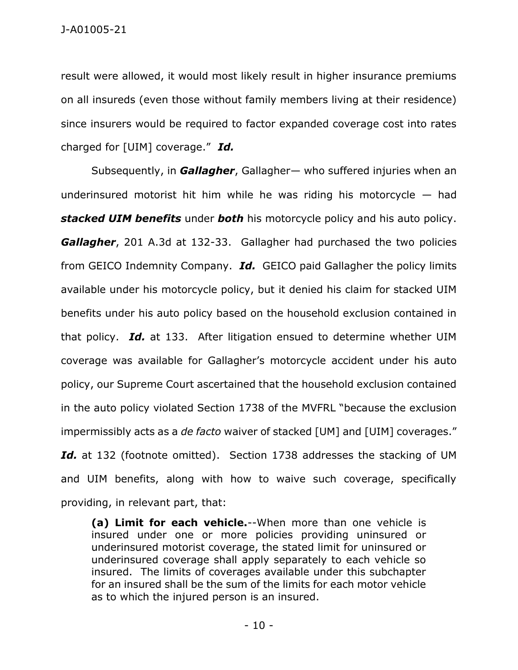J-A01005-21

result were allowed, it would most likely result in higher insurance premiums on all insureds (even those without family members living at their residence) since insurers would be required to factor expanded coverage cost into rates charged for [UIM] coverage." *Id.* 

Subsequently, in *Gallagher*, Gallagher— who suffered injuries when an underinsured motorist hit him while he was riding his motorcycle  $-$  had *stacked UIM benefits* under *both* his motorcycle policy and his auto policy. *Gallagher*, 201 A.3d at 132-33. Gallagher had purchased the two policies from GEICO Indemnity Company. *Id.* GEICO paid Gallagher the policy limits available under his motorcycle policy, but it denied his claim for stacked UIM benefits under his auto policy based on the household exclusion contained in that policy. *Id.* at 133. After litigation ensued to determine whether UIM coverage was available for Gallagher's motorcycle accident under his auto policy, our Supreme Court ascertained that the household exclusion contained in the auto policy violated Section 1738 of the MVFRL "because the exclusion impermissibly acts as a *de facto* waiver of stacked [UM] and [UIM] coverages." Id. at 132 (footnote omitted). Section 1738 addresses the stacking of UM and UIM benefits, along with how to waive such coverage, specifically providing, in relevant part, that:

**(a) Limit for each vehicle.**--When more than one vehicle is insured under one or more policies providing uninsured or underinsured motorist coverage, the stated limit for uninsured or underinsured coverage shall apply separately to each vehicle so insured. The limits of coverages available under this subchapter for an insured shall be the sum of the limits for each motor vehicle as to which the injured person is an insured.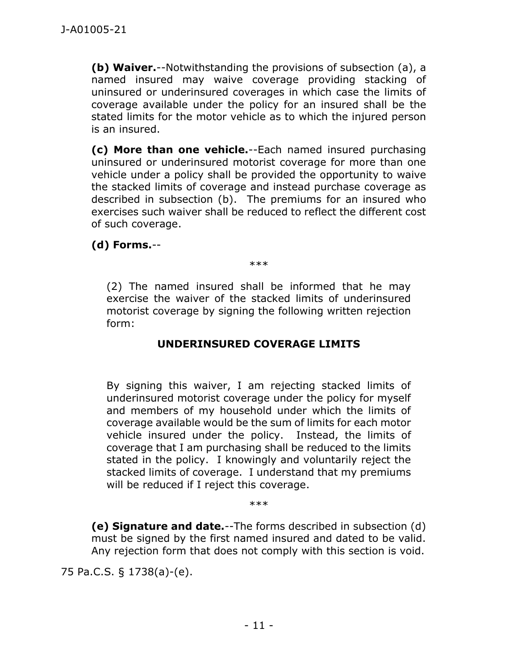**(b) Waiver.**--Notwithstanding the provisions of subsection (a), a named insured may waive coverage providing stacking of uninsured or underinsured coverages in which case the limits of coverage available under the policy for an insured shall be the stated limits for the motor vehicle as to which the injured person is an insured.

**(c) More than one vehicle.**--Each named insured purchasing uninsured or underinsured motorist coverage for more than one vehicle under a policy shall be provided the opportunity to waive the stacked limits of coverage and instead purchase coverage as described in subsection (b). The premiums for an insured who exercises such waiver shall be reduced to reflect the different cost of such coverage.

## **(d) Forms.**--

\*\*\*

(2) The named insured shall be informed that he may exercise the waiver of the stacked limits of underinsured motorist coverage by signing the following written rejection form:

## **UNDERINSURED COVERAGE LIMITS**

By signing this waiver, I am rejecting stacked limits of underinsured motorist coverage under the policy for myself and members of my household under which the limits of coverage available would be the sum of limits for each motor vehicle insured under the policy. Instead, the limits of coverage that I am purchasing shall be reduced to the limits stated in the policy. I knowingly and voluntarily reject the stacked limits of coverage. I understand that my premiums will be reduced if I reject this coverage.

\*\*\*

**(e) Signature and date.**--The forms described in subsection (d) must be signed by the first named insured and dated to be valid. Any rejection form that does not comply with this section is void.

75 Pa.C.S. § 1738(a)-(e).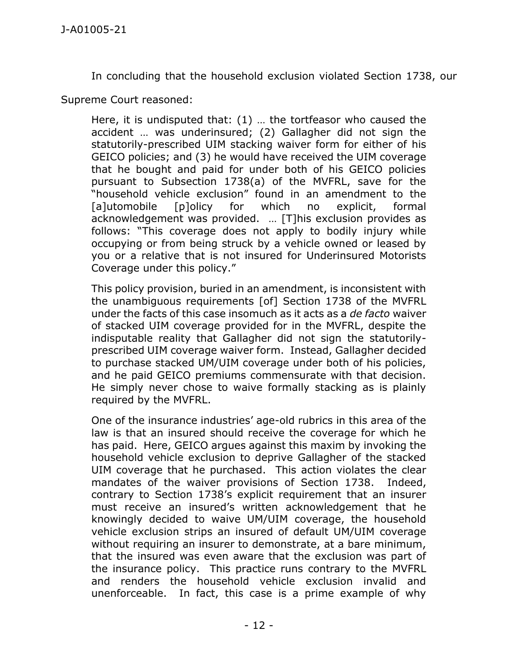In concluding that the household exclusion violated Section 1738, our

Supreme Court reasoned:

Here, it is undisputed that: (1) … the tortfeasor who caused the accident … was underinsured; (2) Gallagher did not sign the statutorily-prescribed UIM stacking waiver form for either of his GEICO policies; and (3) he would have received the UIM coverage that he bought and paid for under both of his GEICO policies pursuant to Subsection 1738(a) of the MVFRL, save for the "household vehicle exclusion" found in an amendment to the [a]utomobile [p]olicy for which no explicit, formal acknowledgement was provided. … [T]his exclusion provides as follows: "This coverage does not apply to bodily injury while occupying or from being struck by a vehicle owned or leased by you or a relative that is not insured for Underinsured Motorists Coverage under this policy."

This policy provision, buried in an amendment, is inconsistent with the unambiguous requirements [of] Section 1738 of the MVFRL under the facts of this case insomuch as it acts as a *de facto* waiver of stacked UIM coverage provided for in the MVFRL, despite the indisputable reality that Gallagher did not sign the statutorilyprescribed UIM coverage waiver form. Instead, Gallagher decided to purchase stacked UM/UIM coverage under both of his policies, and he paid GEICO premiums commensurate with that decision. He simply never chose to waive formally stacking as is plainly required by the MVFRL.

One of the insurance industries' age-old rubrics in this area of the law is that an insured should receive the coverage for which he has paid. Here, GEICO argues against this maxim by invoking the household vehicle exclusion to deprive Gallagher of the stacked UIM coverage that he purchased. This action violates the clear mandates of the waiver provisions of Section 1738. Indeed, contrary to Section 1738's explicit requirement that an insurer must receive an insured's written acknowledgement that he knowingly decided to waive UM/UIM coverage, the household vehicle exclusion strips an insured of default UM/UIM coverage without requiring an insurer to demonstrate, at a bare minimum, that the insured was even aware that the exclusion was part of the insurance policy. This practice runs contrary to the MVFRL and renders the household vehicle exclusion invalid and unenforceable. In fact, this case is a prime example of why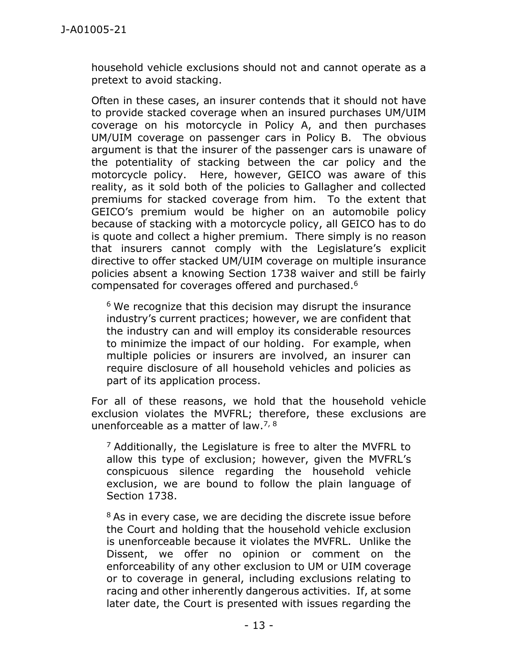household vehicle exclusions should not and cannot operate as a pretext to avoid stacking.

Often in these cases, an insurer contends that it should not have to provide stacked coverage when an insured purchases UM/UIM coverage on his motorcycle in Policy A, and then purchases UM/UIM coverage on passenger cars in Policy B. The obvious argument is that the insurer of the passenger cars is unaware of the potentiality of stacking between the car policy and the motorcycle policy. Here, however, GEICO was aware of this reality, as it sold both of the policies to Gallagher and collected premiums for stacked coverage from him. To the extent that GEICO's premium would be higher on an automobile policy because of stacking with a motorcycle policy, all GEICO has to do is quote and collect a higher premium. There simply is no reason that insurers cannot comply with the Legislature's explicit directive to offer stacked UM/UIM coverage on multiple insurance policies absent a knowing Section 1738 waiver and still be fairly compensated for coverages offered and purchased. 6

 $6$  We recognize that this decision may disrupt the insurance industry's current practices; however, we are confident that the industry can and will employ its considerable resources to minimize the impact of our holding. For example, when multiple policies or insurers are involved, an insurer can require disclosure of all household vehicles and policies as part of its application process.

For all of these reasons, we hold that the household vehicle exclusion violates the MVFRL; therefore, these exclusions are unenforceable as a matter of law.<sup>7, 8</sup>

 $<sup>7</sup>$  Additionally, the Legislature is free to alter the MVFRL to</sup> allow this type of exclusion; however, given the MVFRL's conspicuous silence regarding the household vehicle exclusion, we are bound to follow the plain language of Section 1738.

<sup>8</sup> As in every case, we are deciding the discrete issue before the Court and holding that the household vehicle exclusion is unenforceable because it violates the MVFRL. Unlike the Dissent, we offer no opinion or comment on the enforceability of any other exclusion to UM or UIM coverage or to coverage in general, including exclusions relating to racing and other inherently dangerous activities. If, at some later date, the Court is presented with issues regarding the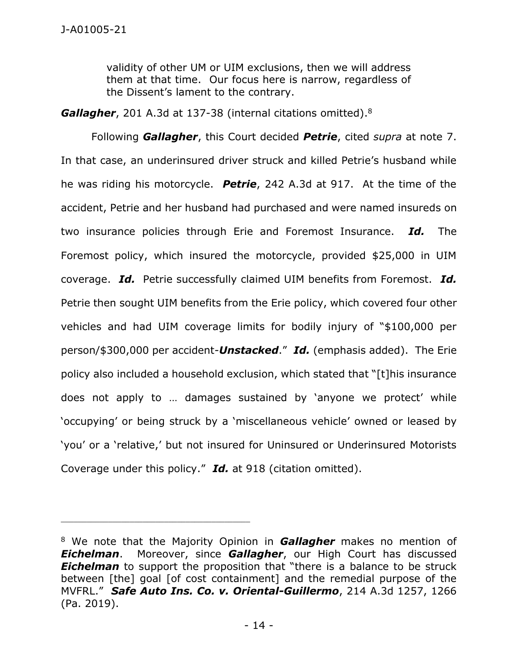validity of other UM or UIM exclusions, then we will address them at that time. Our focus here is narrow, regardless of the Dissent's lament to the contrary.

*Gallagher*, 201 A.3d at 137-38 (internal citations omitted).<sup>8</sup>

Following *Gallagher*, this Court decided *Petrie*, cited *supra* at note 7. In that case, an underinsured driver struck and killed Petrie's husband while he was riding his motorcycle. *Petrie*, 242 A.3d at 917. At the time of the accident, Petrie and her husband had purchased and were named insureds on two insurance policies through Erie and Foremost Insurance. *Id.* The Foremost policy, which insured the motorcycle, provided \$25,000 in UIM coverage. *Id.* Petrie successfully claimed UIM benefits from Foremost. *Id.*  Petrie then sought UIM benefits from the Erie policy, which covered four other vehicles and had UIM coverage limits for bodily injury of "\$100,000 per person/\$300,000 per accident-*Unstacked*." *Id.* (emphasis added). The Erie policy also included a household exclusion, which stated that "[t]his insurance does not apply to … damages sustained by 'anyone we protect' while 'occupying' or being struck by a 'miscellaneous vehicle' owned or leased by 'you' or a 'relative,' but not insured for Uninsured or Underinsured Motorists Coverage under this policy." *Id.* at 918 (citation omitted).

<sup>8</sup> We note that the Majority Opinion in *Gallagher* makes no mention of *Eichelman*. Moreover, since *Gallagher*, our High Court has discussed **Eichelman** to support the proposition that "there is a balance to be struck between [the] goal [of cost containment] and the remedial purpose of the MVFRL." *Safe Auto Ins. Co. v. Oriental-Guillermo*, 214 A.3d 1257, 1266 (Pa. 2019).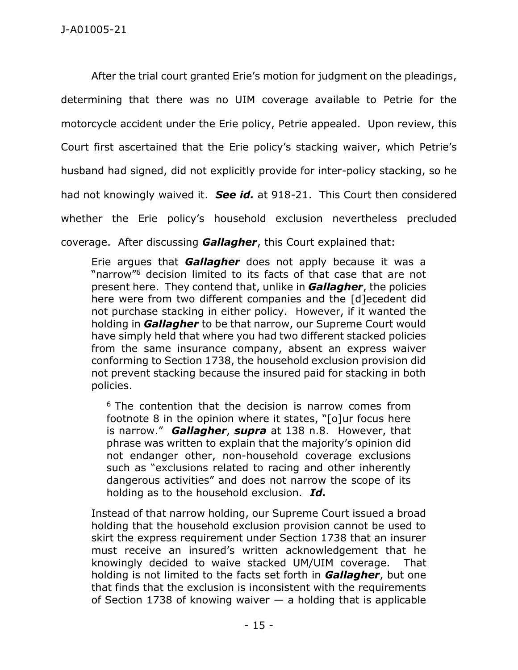After the trial court granted Erie's motion for judgment on the pleadings, determining that there was no UIM coverage available to Petrie for the motorcycle accident under the Erie policy, Petrie appealed. Upon review, this Court first ascertained that the Erie policy's stacking waiver, which Petrie's husband had signed, did not explicitly provide for inter-policy stacking, so he had not knowingly waived it. *See id.* at 918-21. This Court then considered whether the Erie policy's household exclusion nevertheless precluded coverage. After discussing *Gallagher*, this Court explained that:

Erie argues that *Gallagher* does not apply because it was a "narrow"<sup>6</sup> decision limited to its facts of that case that are not present here. They contend that, unlike in *Gallagher*, the policies here were from two different companies and the [d]ecedent did not purchase stacking in either policy. However, if it wanted the holding in *Gallagher* to be that narrow, our Supreme Court would have simply held that where you had two different stacked policies from the same insurance company, absent an express waiver conforming to Section 1738, the household exclusion provision did not prevent stacking because the insured paid for stacking in both policies.

 $6$  The contention that the decision is narrow comes from footnote 8 in the opinion where it states, "[o]ur focus here is narrow." *Gallagher*, *supra* at 138 n.8. However, that phrase was written to explain that the majority's opinion did not endanger other, non-household coverage exclusions such as "exclusions related to racing and other inherently dangerous activities" and does not narrow the scope of its holding as to the household exclusion. *Id.*

Instead of that narrow holding, our Supreme Court issued a broad holding that the household exclusion provision cannot be used to skirt the express requirement under Section 1738 that an insurer must receive an insured's written acknowledgement that he knowingly decided to waive stacked UM/UIM coverage. That holding is not limited to the facts set forth in *Gallagher*, but one that finds that the exclusion is inconsistent with the requirements of Section 1738 of knowing waiver  $-$  a holding that is applicable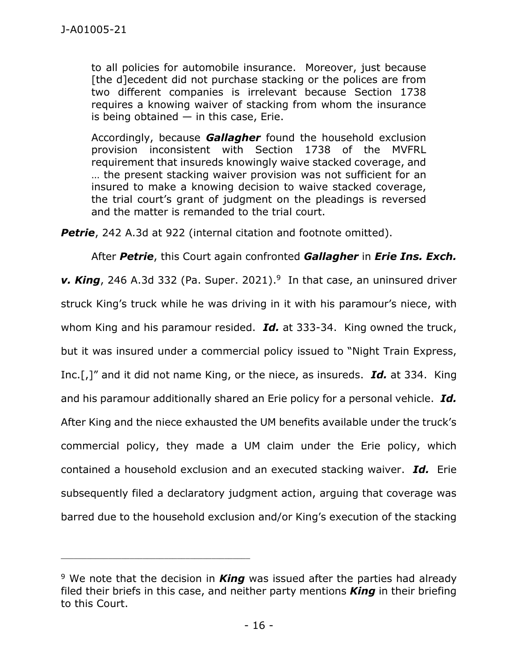to all policies for automobile insurance. Moreover, just because [the d]ecedent did not purchase stacking or the polices are from two different companies is irrelevant because Section 1738 requires a knowing waiver of stacking from whom the insurance is being obtained  $-$  in this case, Erie.

Accordingly, because *Gallagher* found the household exclusion provision inconsistent with Section 1738 of the MVFRL requirement that insureds knowingly waive stacked coverage, and … the present stacking waiver provision was not sufficient for an insured to make a knowing decision to waive stacked coverage, the trial court's grant of judgment on the pleadings is reversed and the matter is remanded to the trial court.

**Petrie**, 242 A.3d at 922 (internal citation and footnote omitted).

After *Petrie*, this Court again confronted *Gallagher* in *Erie Ins. Exch. v. King*, 246 A.3d 332 (Pa. Super. 2021). 9 In that case, an uninsured driver struck King's truck while he was driving in it with his paramour's niece, with whom King and his paramour resided. *Id.* at 333-34. King owned the truck, but it was insured under a commercial policy issued to "Night Train Express, Inc.[,]" and it did not name King, or the niece, as insureds. *Id.* at 334. King and his paramour additionally shared an Erie policy for a personal vehicle. *Id.*  After King and the niece exhausted the UM benefits available under the truck's commercial policy, they made a UM claim under the Erie policy, which contained a household exclusion and an executed stacking waiver. *Id.* Erie subsequently filed a declaratory judgment action, arguing that coverage was barred due to the household exclusion and/or King's execution of the stacking

\_\_\_\_\_\_\_\_\_\_\_\_\_\_\_\_\_\_\_\_\_\_\_\_\_\_\_\_\_\_\_\_\_\_\_\_\_\_\_\_\_\_\_\_

<sup>9</sup> We note that the decision in *King* was issued after the parties had already filed their briefs in this case, and neither party mentions *King* in their briefing to this Court.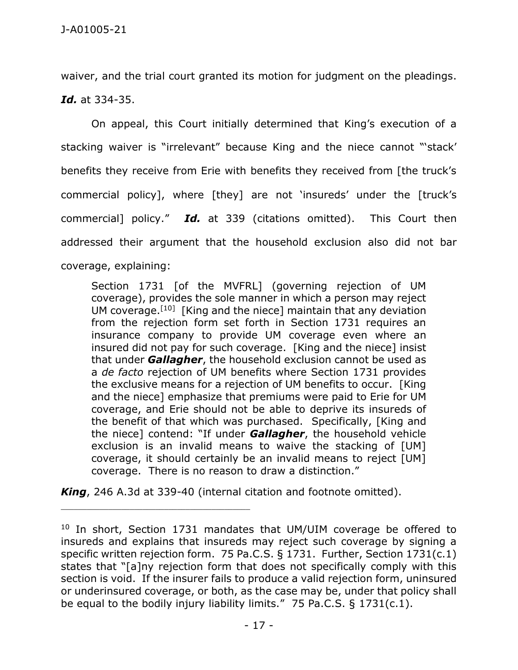waiver, and the trial court granted its motion for judgment on the pleadings. *Id.* at 334-35.

On appeal, this Court initially determined that King's execution of a stacking waiver is "irrelevant" because King and the niece cannot "'stack' benefits they receive from Erie with benefits they received from [the truck's commercial policy], where [they] are not 'insureds' under the [truck's commercial] policy." *Id.* at 339 (citations omitted). This Court then addressed their argument that the household exclusion also did not bar coverage, explaining:

Section 1731 [of the MVFRL] (governing rejection of UM coverage), provides the sole manner in which a person may reject UM coverage.[10] [King and the niece] maintain that any deviation from the rejection form set forth in Section 1731 requires an insurance company to provide UM coverage even where an insured did not pay for such coverage. [King and the niece] insist that under *Gallagher*, the household exclusion cannot be used as a *de facto* rejection of UM benefits where Section 1731 provides the exclusive means for a rejection of UM benefits to occur. [King and the niece] emphasize that premiums were paid to Erie for UM coverage, and Erie should not be able to deprive its insureds of the benefit of that which was purchased. Specifically, [King and the niece] contend: "If under *Gallagher*, the household vehicle exclusion is an invalid means to waive the stacking of [UM] coverage, it should certainly be an invalid means to reject [UM] coverage. There is no reason to draw a distinction."

*King*, 246 A.3d at 339-40 (internal citation and footnote omitted).

\_\_\_\_\_\_\_\_\_\_\_\_\_\_\_\_\_\_\_\_\_\_\_\_\_\_\_\_\_\_\_\_\_\_\_\_\_\_\_\_\_\_\_\_

<sup>&</sup>lt;sup>10</sup> In short, Section 1731 mandates that UM/UIM coverage be offered to insureds and explains that insureds may reject such coverage by signing a specific written rejection form. 75 Pa.C.S. § 1731. Further, Section 1731(c.1) states that "[a]ny rejection form that does not specifically comply with this section is void. If the insurer fails to produce a valid rejection form, uninsured or underinsured coverage, or both, as the case may be, under that policy shall be equal to the bodily injury liability limits." 75 Pa.C.S. § 1731(c.1).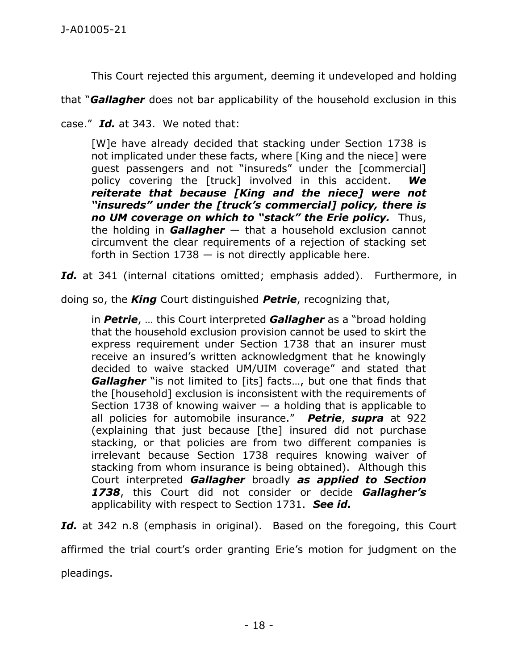This Court rejected this argument, deeming it undeveloped and holding

that "*Gallagher* does not bar applicability of the household exclusion in this

case." *Id.* at 343. We noted that:

[W]e have already decided that stacking under Section 1738 is not implicated under these facts, where [King and the niece] were guest passengers and not "insureds" under the [commercial] policy covering the [truck] involved in this accident. *We reiterate that because [King and the niece] were not "insureds" under the [truck's commercial] policy, there is no UM coverage on which to "stack" the Erie policy.* Thus, the holding in *Gallagher* — that a household exclusion cannot circumvent the clear requirements of a rejection of stacking set forth in Section  $1738 -$  is not directly applicable here.

Id. at 341 (internal citations omitted; emphasis added). Furthermore, in

doing so, the *King* Court distinguished *Petrie*, recognizing that,

in *Petrie*, … this Court interpreted *Gallagher* as a "broad holding that the household exclusion provision cannot be used to skirt the express requirement under Section 1738 that an insurer must receive an insured's written acknowledgment that he knowingly decided to waive stacked UM/UIM coverage" and stated that **Gallagher** "is not limited to [its] facts..., but one that finds that the [household] exclusion is inconsistent with the requirements of Section 1738 of knowing waiver  $-$  a holding that is applicable to all policies for automobile insurance." *Petrie*, *supra* at 922 (explaining that just because [the] insured did not purchase stacking, or that policies are from two different companies is irrelevant because Section 1738 requires knowing waiver of stacking from whom insurance is being obtained). Although this Court interpreted *Gallagher* broadly *as applied to Section 1738*, this Court did not consider or decide *Gallagher's* applicability with respect to Section 1731. *See id.* 

Id. at 342 n.8 (emphasis in original). Based on the foregoing, this Court

affirmed the trial court's order granting Erie's motion for judgment on the

pleadings.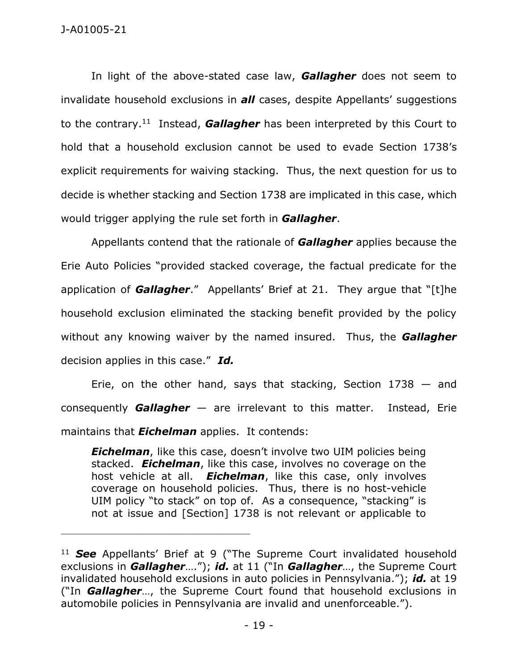## J-A01005-21

In light of the above-stated case law, *Gallagher* does not seem to invalidate household exclusions in *all* cases, despite Appellants' suggestions to the contrary.<sup>11</sup> Instead, **Gallagher** has been interpreted by this Court to hold that a household exclusion cannot be used to evade Section 1738's explicit requirements for waiving stacking. Thus, the next question for us to decide is whether stacking and Section 1738 are implicated in this case, which would trigger applying the rule set forth in *Gallagher*.

Appellants contend that the rationale of *Gallagher* applies because the Erie Auto Policies "provided stacked coverage, the factual predicate for the application of *Gallagher*." Appellants' Brief at 21. They argue that "[t]he household exclusion eliminated the stacking benefit provided by the policy without any knowing waiver by the named insured. Thus, the *Gallagher*  decision applies in this case." *Id.* 

Erie, on the other hand, says that stacking, Section  $1738 -$  and consequently *Gallagher* — are irrelevant to this matter. Instead, Erie maintains that *Eichelman* applies. It contends:

*Eichelman*, like this case, doesn't involve two UIM policies being stacked. *Eichelman*, like this case, involves no coverage on the host vehicle at all. *Eichelman*, like this case, only involves coverage on household policies. Thus, there is no host-vehicle UIM policy "to stack" on top of. As a consequence, "stacking" is not at issue and [Section] 1738 is not relevant or applicable to

\_\_\_\_\_\_\_\_\_\_\_\_\_\_\_\_\_\_\_\_\_\_\_\_\_\_\_\_\_\_\_\_\_\_\_\_\_\_\_\_\_\_\_\_

<sup>11</sup> *See* Appellants' Brief at 9 ("The Supreme Court invalidated household exclusions in *Gallagher*…."); *id.* at 11 ("In *Gallagher*…, the Supreme Court invalidated household exclusions in auto policies in Pennsylvania."); *id.* at 19 ("In *Gallagher*…, the Supreme Court found that household exclusions in automobile policies in Pennsylvania are invalid and unenforceable.").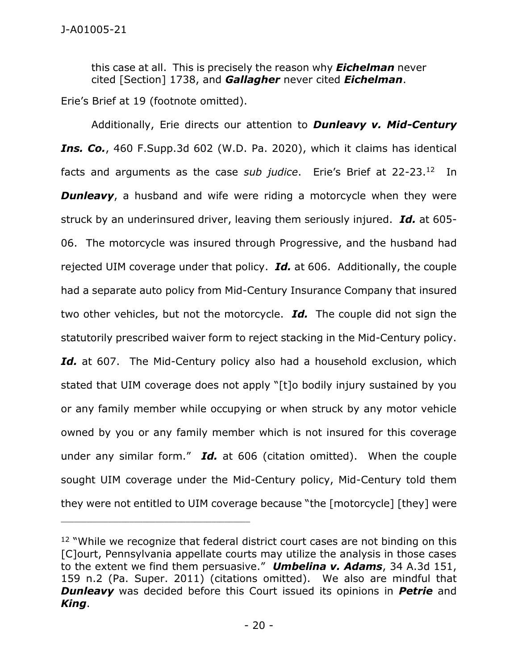this case at all. This is precisely the reason why *Eichelman* never cited [Section] 1738, and *Gallagher* never cited *Eichelman*.

Erie's Brief at 19 (footnote omitted).

Additionally, Erie directs our attention to *Dunleavy v. Mid-Century Ins. Co.*, 460 F.Supp.3d 602 (W.D. Pa. 2020), which it claims has identical facts and arguments as the case *sub judice*. Erie's Brief at 22-23.<sup>12</sup> In **Dunleavy**, a husband and wife were riding a motorcycle when they were struck by an underinsured driver, leaving them seriously injured. *Id.* at 605- 06. The motorcycle was insured through Progressive, and the husband had rejected UIM coverage under that policy. *Id.* at 606. Additionally, the couple had a separate auto policy from Mid-Century Insurance Company that insured two other vehicles, but not the motorcycle. *Id.* The couple did not sign the statutorily prescribed waiver form to reject stacking in the Mid-Century policy. Id. at 607. The Mid-Century policy also had a household exclusion, which stated that UIM coverage does not apply "[t]o bodily injury sustained by you or any family member while occupying or when struck by any motor vehicle owned by you or any family member which is not insured for this coverage under any similar form." *Id.* at 606 (citation omitted). When the couple sought UIM coverage under the Mid-Century policy, Mid-Century told them they were not entitled to UIM coverage because "the [motorcycle] [they] were

<sup>&</sup>lt;sup>12</sup> "While we recognize that federal district court cases are not binding on this [C]ourt, Pennsylvania appellate courts may utilize the analysis in those cases to the extent we find them persuasive." *Umbelina v. Adams*, 34 A.3d 151, 159 n.2 (Pa. Super. 2011) (citations omitted). We also are mindful that *Dunleavy* was decided before this Court issued its opinions in *Petrie* and *King*.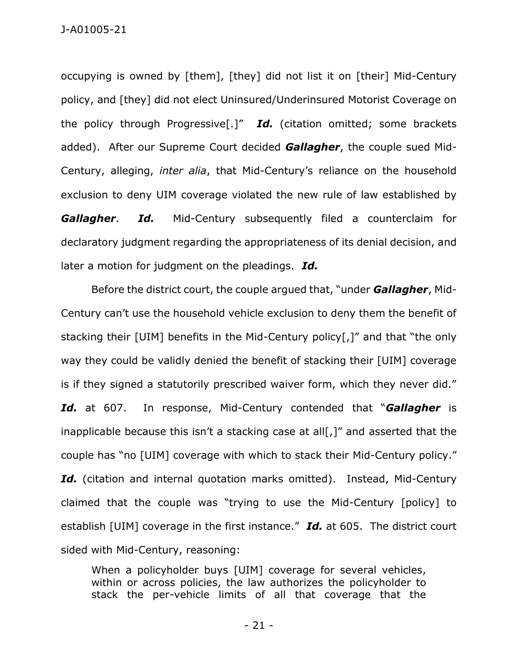occupying is owned by [them], [they] did not list it on [their] Mid-Century policy, and [they] did not elect Uninsured/Underinsured Motorist Coverage on the policy through Progressive[.]" *Id.* (citation omitted; some brackets added). After our Supreme Court decided *Gallagher*, the couple sued Mid-Century, alleging, *inter alia*, that Mid-Century's reliance on the household exclusion to deny UIM coverage violated the new rule of law established by **Gallagher.** Id. Mid-Century subsequently filed a counterclaim for declaratory judgment regarding the appropriateness of its denial decision, and later a motion for judgment on the pleadings. *Id.* 

Before the district court, the couple argued that, "under *Gallagher*, Mid-Century can't use the household vehicle exclusion to deny them the benefit of stacking their [UIM] benefits in the Mid-Century policy[,]" and that "the only way they could be validly denied the benefit of stacking their [UIM] coverage is if they signed a statutorily prescribed waiver form, which they never did." *Id.* at 607. In response, Mid-Century contended that "*Gallagher* is inapplicable because this isn't a stacking case at all[,]" and asserted that the couple has "no [UIM] coverage with which to stack their Mid-Century policy." Id. (citation and internal quotation marks omitted). Instead, Mid-Century claimed that the couple was "trying to use the Mid-Century [policy] to establish [UIM] coverage in the first instance." *Id.* at 605. The district court sided with Mid-Century, reasoning:

When a policyholder buys [UIM] coverage for several vehicles, within or across policies, the law authorizes the policyholder to stack the per-vehicle limits of all that coverage that the

- 21 -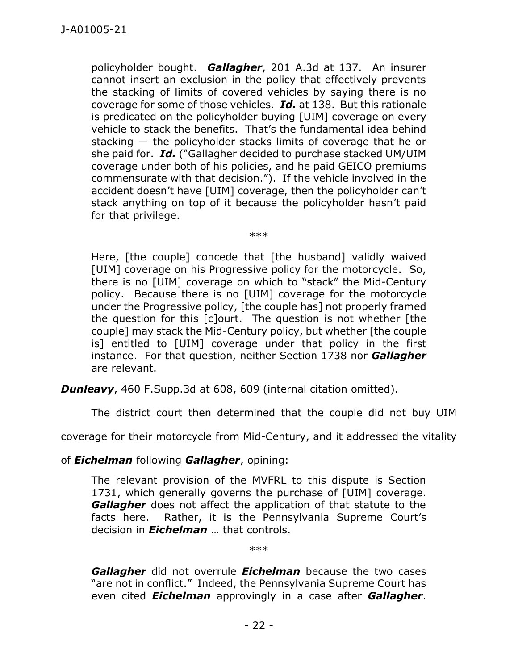policyholder bought. *Gallagher*, 201 A.3d at 137. An insurer cannot insert an exclusion in the policy that effectively prevents the stacking of limits of covered vehicles by saying there is no coverage for some of those vehicles. *Id.* at 138. But this rationale is predicated on the policyholder buying [UIM] coverage on every vehicle to stack the benefits. That's the fundamental idea behind stacking — the policyholder stacks limits of coverage that he or she paid for. *Id.* ("Gallagher decided to purchase stacked UM/UIM coverage under both of his policies, and he paid GEICO premiums commensurate with that decision."). If the vehicle involved in the accident doesn't have [UIM] coverage, then the policyholder can't stack anything on top of it because the policyholder hasn't paid for that privilege.

Here, [the couple] concede that [the husband] validly waived [UIM] coverage on his Progressive policy for the motorcycle. So, there is no [UIM] coverage on which to "stack" the Mid-Century policy. Because there is no [UIM] coverage for the motorcycle under the Progressive policy, [the couple has] not properly framed the question for this [c]ourt. The question is not whether [the couple] may stack the Mid-Century policy, but whether [the couple is] entitled to [UIM] coverage under that policy in the first instance. For that question, neither Section 1738 nor *Gallagher* are relevant.

\*\*\*

*Dunleavy*, 460 F.Supp.3d at 608, 609 (internal citation omitted).

The district court then determined that the couple did not buy UIM

coverage for their motorcycle from Mid-Century, and it addressed the vitality

of *Eichelman* following *Gallagher*, opining:

The relevant provision of the MVFRL to this dispute is Section 1731, which generally governs the purchase of [UIM] coverage. *Gallagher* does not affect the application of that statute to the facts here. Rather, it is the Pennsylvania Supreme Court's decision in *Eichelman* … that controls.

\*\*\*

*Gallagher* did not overrule *Eichelman* because the two cases "are not in conflict." Indeed, the Pennsylvania Supreme Court has even cited *Eichelman* approvingly in a case after *Gallagher*.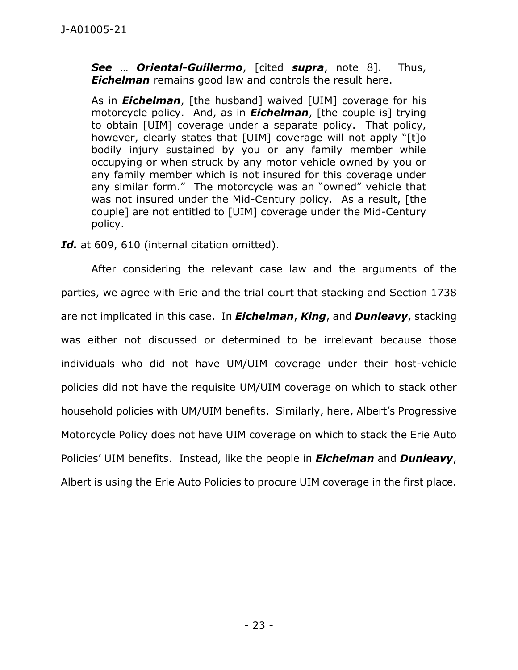*See* … *Oriental-Guillermo*, [cited *supra*, note 8]. Thus, *Eichelman* remains good law and controls the result here.

As in *Eichelman*, [the husband] waived [UIM] coverage for his motorcycle policy. And, as in *Eichelman*, [the couple is] trying to obtain [UIM] coverage under a separate policy. That policy, however, clearly states that [UIM] coverage will not apply "[t]o bodily injury sustained by you or any family member while occupying or when struck by any motor vehicle owned by you or any family member which is not insured for this coverage under any similar form." The motorcycle was an "owned" vehicle that was not insured under the Mid-Century policy. As a result, [the couple] are not entitled to [UIM] coverage under the Mid-Century policy.

Id. at 609, 610 (internal citation omitted).

After considering the relevant case law and the arguments of the parties, we agree with Erie and the trial court that stacking and Section 1738 are not implicated in this case. In *Eichelman*, *King*, and *Dunleavy*, stacking was either not discussed or determined to be irrelevant because those individuals who did not have UM/UIM coverage under their host-vehicle policies did not have the requisite UM/UIM coverage on which to stack other household policies with UM/UIM benefits. Similarly, here, Albert's Progressive Motorcycle Policy does not have UIM coverage on which to stack the Erie Auto Policies' UIM benefits. Instead, like the people in *Eichelman* and *Dunleavy*, Albert is using the Erie Auto Policies to procure UIM coverage in the first place.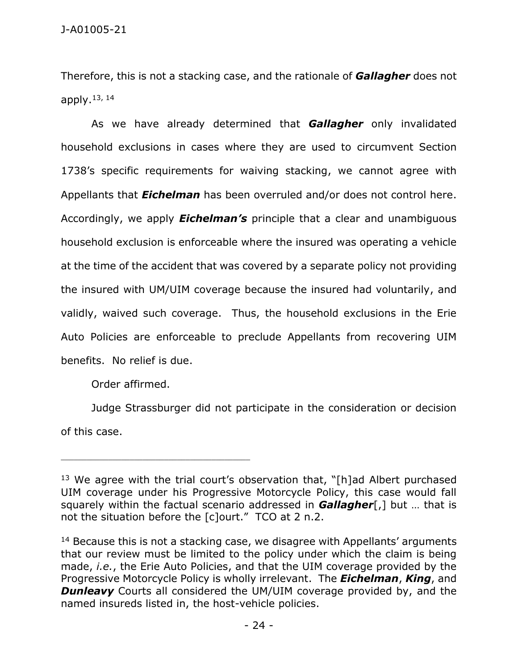Therefore, this is not a stacking case, and the rationale of *Gallagher* does not apply. 13, 14

As we have already determined that *Gallagher* only invalidated household exclusions in cases where they are used to circumvent Section 1738's specific requirements for waiving stacking, we cannot agree with Appellants that *Eichelman* has been overruled and/or does not control here. Accordingly, we apply *Eichelman's* principle that a clear and unambiguous household exclusion is enforceable where the insured was operating a vehicle at the time of the accident that was covered by a separate policy not providing the insured with UM/UIM coverage because the insured had voluntarily, and validly, waived such coverage. Thus, the household exclusions in the Erie Auto Policies are enforceable to preclude Appellants from recovering UIM benefits. No relief is due.

Order affirmed.

\_\_\_\_\_\_\_\_\_\_\_\_\_\_\_\_\_\_\_\_\_\_\_\_\_\_\_\_\_\_\_\_\_\_\_\_\_\_\_\_\_\_\_\_

Judge Strassburger did not participate in the consideration or decision of this case.

<sup>&</sup>lt;sup>13</sup> We agree with the trial court's observation that, "[h]ad Albert purchased UIM coverage under his Progressive Motorcycle Policy, this case would fall squarely within the factual scenario addressed in *Gallagher*[,] but … that is not the situation before the [c]ourt." TCO at 2 n.2.

 $14$  Because this is not a stacking case, we disagree with Appellants' arguments that our review must be limited to the policy under which the claim is being made, *i.e.*, the Erie Auto Policies, and that the UIM coverage provided by the Progressive Motorcycle Policy is wholly irrelevant. The *Eichelman*, *King*, and **Dunleavy** Courts all considered the UM/UIM coverage provided by, and the named insureds listed in, the host-vehicle policies.